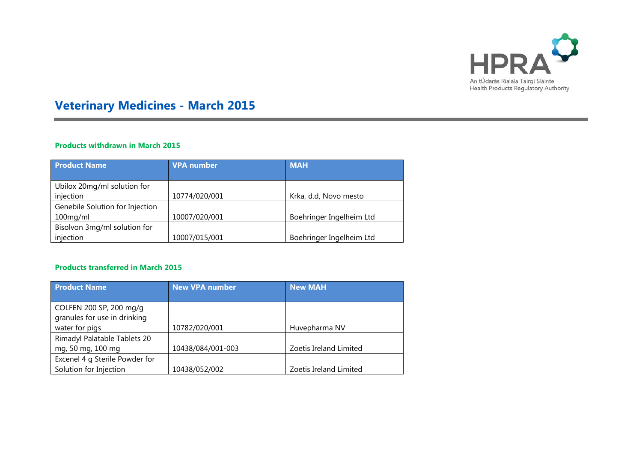

# **Veterinary Medicines - March 2015**

## **Products withdrawn in March 2015**

| <b>Product Name</b>             | <b>VPA number</b> | <b>MAH</b>               |
|---------------------------------|-------------------|--------------------------|
|                                 |                   |                          |
| Ubilox 20mg/ml solution for     |                   |                          |
| injection                       | 10774/020/001     | Krka, d.d, Novo mesto    |
| Genebile Solution for Injection |                   |                          |
| 100mg/ml                        | 10007/020/001     | Boehringer Ingelheim Ltd |
| Bisolvon 3mg/ml solution for    |                   |                          |
| injection                       | 10007/015/001     | Boehringer Ingelheim Ltd |

### **Products transferred in March 2015**

| <b>Product Name</b>            | <b>New VPA number</b> | <b>New MAH</b>         |  |
|--------------------------------|-----------------------|------------------------|--|
|                                |                       |                        |  |
| COLFEN 200 SP, 200 mg/g        |                       |                        |  |
| granules for use in drinking   |                       |                        |  |
| water for pigs                 | 10782/020/001         | Huvepharma NV          |  |
| Rimadyl Palatable Tablets 20   |                       |                        |  |
| mg, 50 mg, 100 mg              | 10438/084/001-003     | Zoetis Ireland Limited |  |
| Excenel 4 g Sterile Powder for |                       |                        |  |
| Solution for Injection         | 10438/052/002         | Zoetis Ireland Limited |  |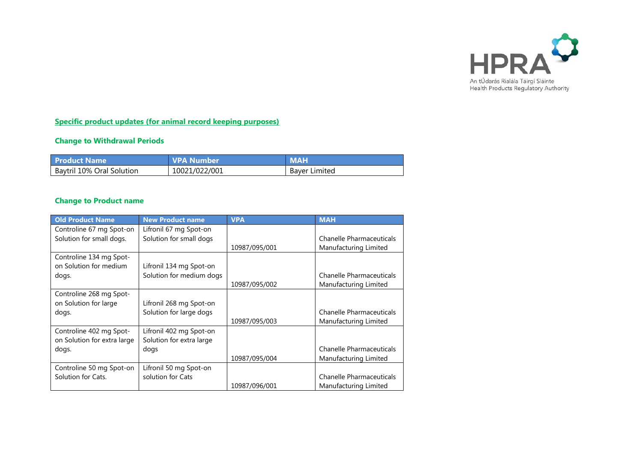

## **Specific product updates (for animal record keeping purposes)**

## **Change to Withdrawal Periods**

| <b>Product Name</b>       | <b>VPA Number</b> | <b>MAH</b>           |
|---------------------------|-------------------|----------------------|
| Baytril 10% Oral Solution | 10021/022/001     | <b>Baver Limited</b> |

## **Change to Product name**

| <b>Old Product Name</b>     | <b>New Product name</b>  | <b>VPA</b>    | <b>MAH</b>                      |
|-----------------------------|--------------------------|---------------|---------------------------------|
| Controline 67 mg Spot-on    | Lifronil 67 mg Spot-on   |               |                                 |
| Solution for small dogs.    | Solution for small dogs  |               | <b>Chanelle Pharmaceuticals</b> |
|                             |                          | 10987/095/001 | Manufacturing Limited           |
| Controline 134 mg Spot-     |                          |               |                                 |
| on Solution for medium      | Lifronil 134 mg Spot-on  |               |                                 |
| dogs.                       | Solution for medium dogs |               | Chanelle Pharmaceuticals        |
|                             |                          | 10987/095/002 | Manufacturing Limited           |
| Controline 268 mg Spot-     |                          |               |                                 |
| on Solution for large       | Lifronil 268 mg Spot-on  |               |                                 |
| dogs.                       | Solution for large dogs  |               | <b>Chanelle Pharmaceuticals</b> |
|                             |                          | 10987/095/003 | Manufacturing Limited           |
| Controline 402 mg Spot-     | Lifronil 402 mg Spot-on  |               |                                 |
| on Solution for extra large | Solution for extra large |               |                                 |
| dogs.                       | dogs                     |               | <b>Chanelle Pharmaceuticals</b> |
|                             |                          | 10987/095/004 | Manufacturing Limited           |
| Controline 50 mg Spot-on    | Lifronil 50 mg Spot-on   |               |                                 |
| Solution for Cats.          | solution for Cats        |               | Chanelle Pharmaceuticals        |
|                             |                          | 10987/096/001 | Manufacturing Limited           |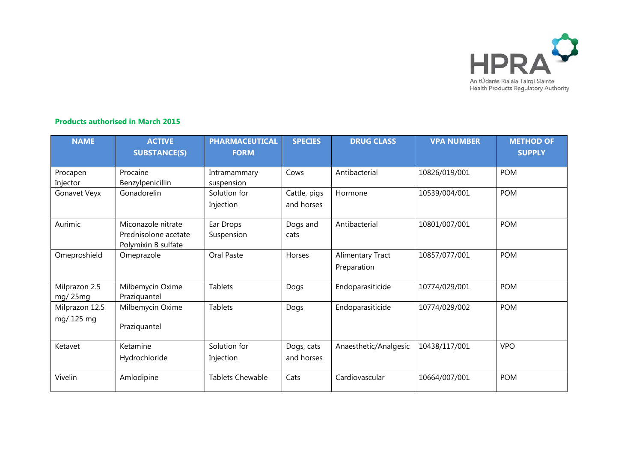

### **Products authorised in March 2015**

| <b>NAME</b>                 | <b>ACTIVE</b><br><b>SUBSTANCE(S)</b>                              | <b>PHARMACEUTICAL</b><br><b>FORM</b> | <b>SPECIES</b>             | <b>DRUG CLASS</b>               | <b>VPA NUMBER</b> | <b>METHOD OF</b><br><b>SUPPLY</b> |
|-----------------------------|-------------------------------------------------------------------|--------------------------------------|----------------------------|---------------------------------|-------------------|-----------------------------------|
| Procapen<br>Injector        | Procaine<br>Benzylpenicillin                                      | Intramammary<br>suspension           | Cows                       | Antibacterial                   | 10826/019/001     | <b>POM</b>                        |
| Gonavet Veyx                | Gonadorelin                                                       | Solution for<br>Injection            | Cattle, pigs<br>and horses | Hormone                         | 10539/004/001     | <b>POM</b>                        |
| Aurimic                     | Miconazole nitrate<br>Prednisolone acetate<br>Polymixin B sulfate | Ear Drops<br>Suspension              | Dogs and<br>cats           | Antibacterial                   | 10801/007/001     | <b>POM</b>                        |
| Omeproshield                | Omeprazole                                                        | Oral Paste                           | Horses                     | Alimentary Tract<br>Preparation | 10857/077/001     | <b>POM</b>                        |
| Milprazon 2.5<br>mg/25mg    | Milbemycin Oxime<br>Praziquantel                                  | <b>Tablets</b>                       | Dogs                       | Endoparasiticide                | 10774/029/001     | <b>POM</b>                        |
| Milprazon 12.5<br>mg/125 mg | Milbemycin Oxime<br>Praziquantel                                  | <b>Tablets</b>                       | Dogs                       | Endoparasiticide                | 10774/029/002     | <b>POM</b>                        |
| Ketavet                     | Ketamine<br>Hydrochloride                                         | Solution for<br>Injection            | Dogs, cats<br>and horses   | Anaesthetic/Analgesic           | 10438/117/001     | <b>VPO</b>                        |
| Vivelin                     | Amlodipine                                                        | <b>Tablets Chewable</b>              | Cats                       | Cardiovascular                  | 10664/007/001     | <b>POM</b>                        |